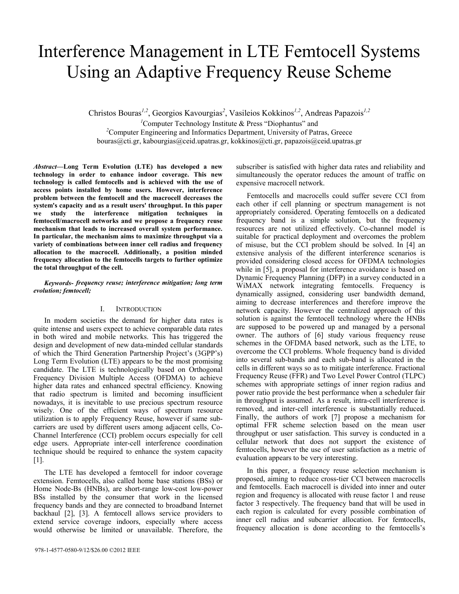# Interference Management in LTE Femtocell Systems Using an Adaptive Frequency Reuse Scheme

Christos Bouras*1,2*, Georgios Kavourgias*<sup>2</sup>* , Vasileios Kokkinos*1,2*, Andreas Papazois*1,2* <sup>1</sup>
Computer Technology Institute & Press "Diophantus" and <sup>2</sup>Computer Engineering and Information Department, University of Data <sup>2</sup>Computer Engineering and Informatics Department, University of Patras, Greece bouras@cti.gr, kabourgias@ceid.upatras.gr, kokkinos@cti.gr, papazois@ceid.upatras.gr

*Abstract***—Long Term Evolution (LTE) has developed a new technology in order to enhance indoor coverage. This new technology is called femtocells and is achieved with the use of access points installed by home users. However, interference problem between the femtocell and the macrocell decreases the system's capacity and as a result users' throughput. In this paper we study the interference mitigation techniques in femtocell/macrocell networks and we propose a frequency reuse mechanism that leads to increased overall system performance. In particular, the mechanism aims to maximize throughput via a variety of combinations between inner cell radius and frequency allocation to the macrocell. Additionally, a position minded frequency allocation to the femtocells targets to further optimize the total throughput of the cell.** 

# *Keywords- frequency reuse; interference mitigation; long term evolution; femtocell;*

# I. INTRODUCTION

In modern societies the demand for higher data rates is quite intense and users expect to achieve comparable data rates in both wired and mobile networks. This has triggered the design and development of new data-minded cellular standards of which the Third Generation Partnership Project's (3GPP's) Long Term Evolution (LTE) appears to be the most promising candidate. The LTE is technologically based on Orthogonal Frequency Division Multiple Access (OFDMA) to achieve higher data rates and enhanced spectral efficiency. Knowing that radio spectrum is limited and becoming insufficient nowadays, it is inevitable to use precious spectrum resource wisely. One of the efficient ways of spectrum resource utilization is to apply Frequency Reuse, however if same subcarriers are used by different users among adjacent cells, Co-Channel Interference (CCI) problem occurs especially for cell edge users. Appropriate inter-cell interference coordination technique should be required to enhance the system capacity [1].

The LTE has developed a femtocell for indoor coverage extension. Femtocells, also called home base stations (BSs) or Home Node-Bs (HNBs), are short-range low-cost low-power BSs installed by the consumer that work in the licensed frequency bands and they are connected to broadband Internet backhaul [2], [3]. A femtocell allows service providers to extend service coverage indoors, especially where access would otherwise be limited or unavailable. Therefore, the

subscriber is satisfied with higher data rates and reliability and simultaneously the operator reduces the amount of traffic on expensive macrocell network.

Femtocells and macrocells could suffer severe CCI from each other if cell planning or spectrum management is not appropriately considered. Operating femtocells on a dedicated frequency band is a simple solution, but the frequency resources are not utilized effectively. Co-channel model is suitable for practical deployment and overcomes the problem of misuse, but the CCI problem should be solved. In [4] an extensive analysis of the different interference scenarios is provided considering closed access for OFDMA technologies while in [5], a proposal for interference avoidance is based on Dynamic Frequency Planning (DFP) in a survey conducted in a WiMAX network integrating femtocells. Frequency is dynamically assigned, considering user bandwidth demand, aiming to decrease interferences and therefore improve the network capacity. However the centralized approach of this solution is against the femtocell technology where the HNBs are supposed to be powered up and managed by a personal owner. The authors of [6] study various frequency reuse schemes in the OFDMA based network, such as the LTE, to overcome the CCI problems. Whole frequency band is divided into several sub-bands and each sub-band is allocated in the cells in different ways so as to mitigate interference. Fractional Frequency Reuse (FFR) and Two Level Power Control (TLPC) schemes with appropriate settings of inner region radius and power ratio provide the best performance when a scheduler fair in throughput is assumed. As a result, intra-cell interference is removed, and inter-cell interference is substantially reduced. Finally, the authors of work [7] propose a mechanism for optimal FFR scheme selection based on the mean user throughput or user satisfaction. This survey is conducted in a cellular network that does not support the existence of femtocells, however the use of user satisfaction as a metric of evaluation appears to be very interesting.

In this paper, a frequency reuse selection mechanism is proposed, aiming to reduce cross-tier CCI between macrocells and femtocells. Each macrocell is divided into inner and outer region and frequency is allocated with reuse factor 1 and reuse factor 3 respectively. The frequency band that will be used in each region is calculated for every possible combination of inner cell radius and subcarrier allocation. For femtocells, frequency allocation is done according to the femtocells's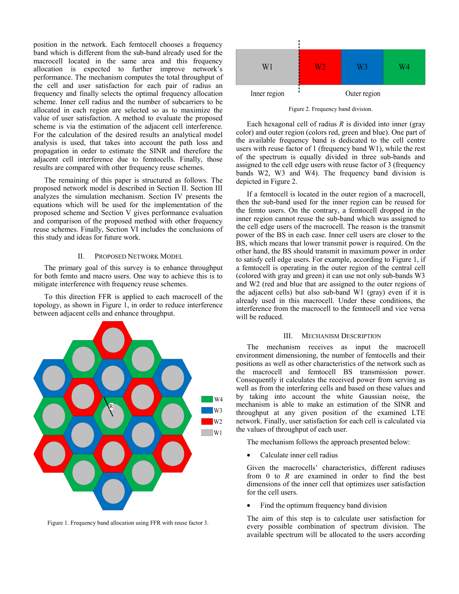position in the network. Each femtocell chooses a frequency band which is different from the sub-band already used for the macrocell located in the same area and this frequency allocation is expected to further improve network's performance. The mechanism computes the total throughput of the cell and user satisfaction for each pair of radius an frequency and finally selects the optimal frequency allocation scheme. Inner cell radius and the number of subcarriers to be allocated in each region are selected so as to maximize the value of user satisfaction. A method to evaluate the proposed scheme is via the estimation of the adjacent cell interference. For the calculation of the desired results an analytical model analysis is used, that takes into account the path loss and propagation in order to estimate the SINR and therefore the adjacent cell interference due to femtocells. Finally, those results are compared with other frequency reuse schemes.

The remaining of this paper is structured as follows. The proposed network model is described in Section II. Section III analyzes the simulation mechanism. Section IV presents the equations which will be used for the implementation of the proposed scheme and Section V gives performance evaluation and comparison of the proposed method with other frequency reuse schemes. Finally, Section VI includes the conclusions of this study and ideas for future work.

# II. PROPOSED NETWORK MODEL

The primary goal of this survey is to enhance throughput for both femto and macro users. One way to achieve this is to mitigate interference with frequency reuse schemes.

To this direction FFR is applied to each macrocell of the topology, as shown in Figure 1, in order to reduce interference between adjacent cells and enhance throughput.



Figure 1. Frequency band allocation using FFR with reuse factor 3.



Figure 2. Frequency band division.

Each hexagonal cell of radius *R* is divided into inner (gray color) and outer region (colors red, green and blue). One part of the available frequency band is dedicated to the cell centre users with reuse factor of 1 (frequency band W1), while the rest of the spectrum is equally divided in three sub-bands and assigned to the cell edge users with reuse factor of 3 (frequency bands W2, W3 and W4). The frequency band division is depicted in Figure 2.

If a femtocell is located in the outer region of a macrocell, then the sub-band used for the inner region can be reused for the femto users. On the contrary, a femtocell dropped in the inner region cannot reuse the sub-band which was assigned to the cell edge users of the macrocell. The reason is the transmit power of the BS in each case. Inner cell users are closer to the BS, which means that lower transmit power is required. On the other hand, the BS should transmit in maximum power in order to satisfy cell edge users. For example, according to Figure 1, if a femtocell is operating in the outer region of the central cell (colored with gray and green) it can use not only sub-bands W3 and W2 (red and blue that are assigned to the outer regions of the adjacent cells) but also sub-band W1 (gray) even if it is already used in this macrocell. Under these conditions, the interference from the macrocell to the femtocell and vice versa will be reduced.

## III. MECHANISM DESCRIPTION

The mechanism receives as input the macrocell environment dimensioning, the number of femtocells and their positions as well as other characteristics of the network such as the macrocell and femtocell BS transmission power. Consequently it calculates the received power from serving as well as from the interfering cells and based on these values and by taking into account the white Gaussian noise, the mechanism is able to make an estimation of the SINR and throughput at any given position of the examined LTE network. Finally, user satisfaction for each cell is calculated via the values of throughput of each user.

The mechanism follows the approach presented below:

Calculate inner cell radius

Given the macrocells' characteristics, different radiuses from 0 to *R* are examined in order to find the best dimensions of the inner cell that optimizes user satisfaction for the cell users.

Find the optimum frequency band division

The aim of this step is to calculate user satisfaction for every possible combination of spectrum division. The available spectrum will be allocated to the users according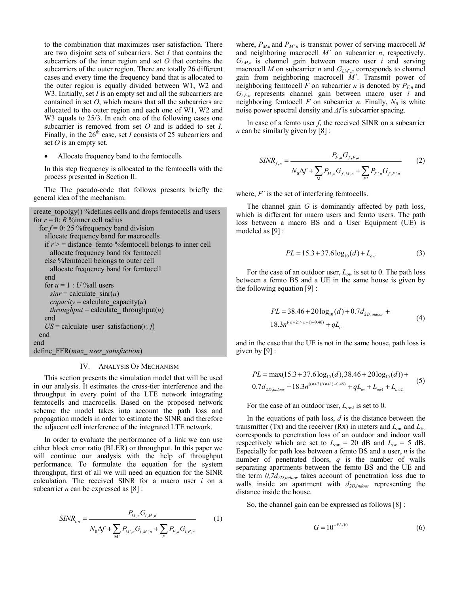to the combination that maximizes user satisfaction. There are two disjoint sets of subcarriers. Set *I* that contains the subcarriers of the inner region and set *O* that contains the subcarriers of the outer region. There are totally 26 different cases and every time the frequency band that is allocated to the outer region is equally divided between W1, W2 and W3. Initially, set *I* is an empty set and all the subcarriers are contained in set *O*, which means that all the subcarriers are allocated to the outer region and each one of W1, W2 and W<sub>3</sub> equals to 25/3. In each one of the following cases one subcarrier is removed from set *O* and is added to set *I*. Finally, in the  $26<sup>th</sup>$  case, set *I* consists of 25 subcarriers and set *O* is an empty set.

• Allocate frequency band to the femtocells

In this step frequency is allocated to the femtocells with the process presented in Section II.

The The pseudo-code that follows presents briefly the general idea of the mechanism.

```
create topolgy() %defines cells and drops femtocells and users
for r = 0: R %inner cell radius
 for f = 0: 25 % frequency band division
    allocate frequency band for macrocells 
   if r > = distance femto %femtocell belongs to inner cell
      allocate frequency band for femtocell 
    else %femtocell belongs to outer cell 
      allocate frequency band for femtocell 
    end 
   for u = 1 : U % all users
     sinr = calculate sinr(u)capacity = calculate capacity(u)
     throughput = calculate throughput(u)
 end 
   US = calculate user satisfaction(r, f)
  end 
end 
define_FFR(max_ user_satisfaction)
```
# IV. ANALYSIS OF MECHANISM

This section presents the simulation model that will be used in our analysis. It estimates the cross-tier interference and the throughput in every point of the LTE network integrating femtocells and macrocells. Based on the proposed network scheme the model takes into account the path loss and propagation models in order to estimate the SINR and therefore the adjacent cell interference of the integrated LTE network.

In order to evaluate the performance of a link we can use either block error ratio (BLER) or throughput. In this paper we will continue our analysis with the help of throughput performance. To formulate the equation for the system throughput, first of all we will need an equation for the SINR calculation. The received SINR for a macro user *i* on a subcarrier *n* can be expressed as [8] :

$$
SINR_{i,n} = \frac{P_{M,n}G_{i,M,n}}{N_0\Delta f + \sum_{M'} P_{M',n}G_{i,M',n} + \sum_{F} P_{F,n}G_{i,F,n}}
$$
(1)

where,  $P_{M,n}$  and  $P_{M',n}$  is transmit power of serving macrocell M and neighboring macrocell *Μ΄* on subcarrier *n*, respectively.  $G_{i,M,n}$  is channel gain between macro user *i* and serving macrocell *M* on subcarrier *n* and  $G_{i,M,n}$  corresponds to channel gain from neighboring macrocell *Μ΄*. Transmit power of neighboring femtocell  $F$  on subcarrier  $n$  is denoted by  $P_{F,n}$  and  $G_{i,F,n}$  represents channel gain between macro user *i* and neighboring femtocell  $F$  on subcarrier  $n$ . Finally,  $N_0$  is white noise power spectral density and *Δf* is subcarrier spacing.

In case of a femto user *f*, the received SINR on a subcarrier *n* can be similarly given by  $[8]$ :

$$
SINR_{f,n} = \frac{P_{F,n}G_{f,F,n}}{N_0\Delta f + \sum_{M} P_{M,n}G_{f,M,n} + \sum_{F'} P_{F',n}G_{f,F',n}}
$$
(2)

where, *F'* is the set of interfering femtocells.

The channel gain *G* is dominantly affected by path loss, which is different for macro users and femto users. The path loss between a macro BS and a User Equipment (UE) is modeled as [9] :

$$
PL = 15.3 + 37.6 \log_{10}(d) + L_{ow}
$$
 (3)

For the case of an outdoor user, *Low* is set to 0. The path loss between a femto BS and a UE in the same house is given by the following equation [9] :

$$
PL = 38.46 + 20 \log_{10}(d) + 0.7 d_{2D, \text{indoor}} + 18.3 n^{((n+2)/(n+1)-0.46)} + qL_{i,w}
$$
\n
$$
(4)
$$

and in the case that the UE is not in the same house, path loss is given by [9] :

$$
PL = \max(15.3 + 37.6 \log_{10}(d), 38.46 + 20 \log_{10}(d)) +
$$
  
0.7d<sub>2D,indoor</sub> + 18.3n<sup>((n+2)/(n+1)-0.46)</sup> + qL<sub>iw</sub> + L<sub>owl</sub> + L<sub>ow2</sub> (5)

For the case of an outdoor user, *Low2* is set to 0.

In the equations of path loss, *d* is the distance between the transmitter (Tx) and the receiver (Rx) in meters and  $L_{ow}$  and  $L_{iw}$ corresponds to penetration loss of an outdoor and indoor wall respectively which are set to  $L_{ow} = 20$  dB and  $L_{iw} = 5$  dB. Especially for path loss between a femto BS and a user, *n* is the number of penetrated floors, *q* is the number of walls separating apartments between the femto BS and the UE and the term  $0.7d_{2D,indoor}$  takes account of penetration loss due to walls inside an apartment with  $d_{2D,indoor}$  representing the distance inside the house.

So, the channel gain can be expressed as follows [8] :

$$
G = 10^{-PL/10} \tag{6}
$$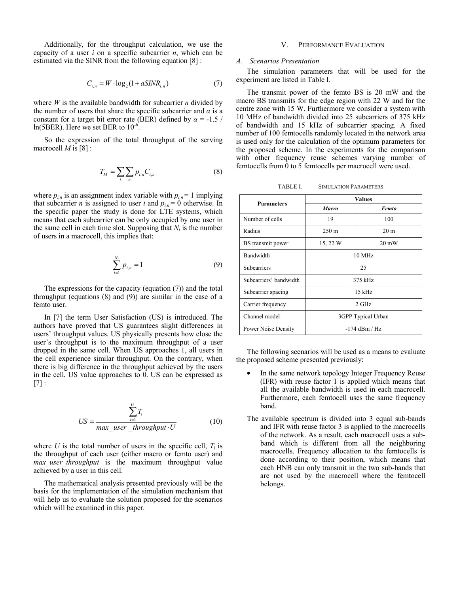Additionally, for the throughput calculation, we use the capacity of a user *i* on a specific subcarrier *n*, which can be estimated via the SINR from the following equation [8] :

$$
C_{i,n} = W \cdot \log_2(1 + aSINR_{i,n})
$$
\n<sup>(7)</sup>

where  $W$  is the available bandwidth for subcarrier  $n$  divided by the number of users that share the specific subcarrier and  $\alpha$  is a constant for a target bit error rate (BER) defined by  $\alpha$  = -1.5 /  $ln(5BER)$ . Here we set BER to  $10^{-6}$ .

So the expression of the total throughput of the serving macrocell *M* is [8] :

$$
T_M = \sum_{i} \sum_{n} p_{i,n} C_{i,n} \tag{8}
$$

where  $p_{i,n}$  is an assignment index variable with  $p_{i,n} = 1$  implying that subcarrier *n* is assigned to user *i* and  $p_{in} = 0$  otherwise. In the specific paper the study is done for LTE systems, which means that each subcarrier can be only occupied by one user in the same cell in each time slot. Supposing that  $N_i$  is the number of users in a macrocell, this implies that:

$$
\sum_{i=1}^{N_i} p_{i,n} = 1 \tag{9}
$$

The expressions for the capacity (equation (7)) and the total throughput (equations (8) and (9)) are similar in the case of a femto user.

In [7] the term User Satisfaction (US) is introduced. The authors have proved that US guarantees slight differences in users' throughput values. US physically presents how close the user's throughput is to the maximum throughput of a user dropped in the same cell. When US approaches 1, all users in the cell experience similar throughput. On the contrary, when there is big difference in the throughput achieved by the users in the cell, US value approaches to 0. US can be expressed as  $[7]$ :

$$
US = \frac{\sum_{i=1}^{U} T_i}{\max \ user \ throughput \cdot U} \tag{10}
$$

where  $U$  is the total number of users in the specific cell,  $T_i$  is the throughput of each user (either macro or femto user) and *max\_user\_throughput* is the maximum throughput value achieved by a user in this cell.

The mathematical analysis presented previously will be the basis for the implementation of the simulation mechanism that will help us to evaluate the solution proposed for the scenarios which will be examined in this paper.

#### V. PERFORMANCE EVALUATION

## *A. Scenarios Presentation*

The simulation parameters that will be used for the experiment are listed in Table I.

The transmit power of the femto BS is 20 mW and the macro BS transmits for the edge region with 22 W and for the centre zone with 15 W. Furthermore we consider a system with 10 MHz of bandwidth divided into 25 subcarriers of 375 kHz of bandwidth and 15 kHz of subcarrier spacing. A fixed number of 100 femtocells randomly located in the network area is used only for the calculation of the optimum parameters for the proposed scheme. In the experiments for the comparison with other frequency reuse schemes varying number of femtocells from 0 to 5 femtocells per macrocell were used.

TABLE I. SIMULATION PARAMETERS

| <b>Parameters</b>      | <b>Values</b>      |                 |
|------------------------|--------------------|-----------------|
|                        | <b>Macro</b>       | <b>Femto</b>    |
| Number of cells        | 19                 | 100             |
| Radius                 | $250 \text{ m}$    | 20 <sub>m</sub> |
| BS transmit power      | 15, 22 W           | $20 \text{ mW}$ |
| <b>Bandwidth</b>       | 10 MHz             |                 |
| Subcarriers            | 25                 |                 |
| Subcarriers' bandwidth | 375 kHz            |                 |
| Subcarrier spacing     | $15$ kHz           |                 |
| Carrier frequency      | $2$ GHz            |                 |
| Channel model          | 3GPP Typical Urban |                 |
| Power Noise Density    | $-174$ dBm / Hz    |                 |

The following scenarios will be used as a means to evaluate the proposed scheme presented previously:

- In the same network topology Integer Frequency Reuse (IFR) with reuse factor 1 is applied which means that all the available bandwidth is used in each macrocell. Furthermore, each femtocell uses the same frequency band.
- The available spectrum is divided into 3 equal sub-bands and IFR with reuse factor 3 is applied to the macrocells of the network. As a result, each macrocell uses a subband which is different from all the neighboring macrocells. Frequency allocation to the femtocells is done according to their position, which means that each HNB can only transmit in the two sub-bands that are not used by the macrocell where the femtocell belongs.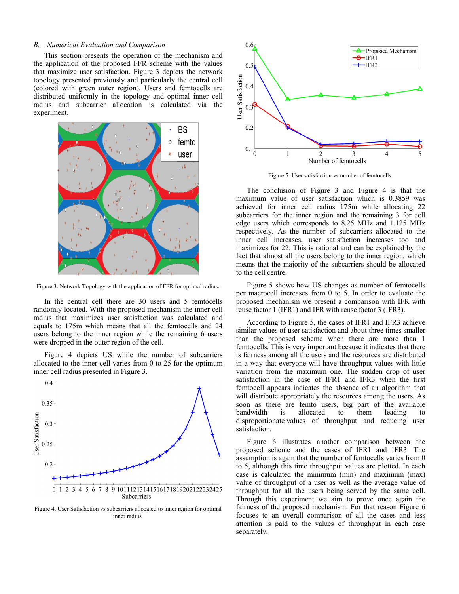# *B. Numerical Evaluation and Comparison*

This section presents the operation of the mechanism and the application of the proposed FFR scheme with the values that maximize user satisfaction. Figure 3 depicts the network topology presented previously and particularly the central cell (colored with green outer region). Users and femtocells are distributed uniformly in the topology and optimal inner cell radius and subcarrier allocation is calculated via the experiment.



Figure 3. Network Topology with the application of FFR for optimal radius.

In the central cell there are 30 users and 5 femtocells randomly located. With the proposed mechanism the inner cell radius that maximizes user satisfaction was calculated and equals to 175m which means that all the femtocells and 24 users belong to the inner region while the remaining 6 users were dropped in the outer region of the cell.

Figure 4 depicts US while the number of subcarriers allocated to the inner cell varies from 0 to 25 for the optimum inner cell radius presented in Figure 3.



Figure 4. User Satisfaction vs subcarriers allocated to inner region for optimal inner radius.



Figure 5. User satisfaction vs number of femtocells.

The conclusion of Figure 3 and Figure 4 is that the maximum value of user satisfaction which is 0.3859 was achieved for inner cell radius 175m while allocating 22 subcarriers for the inner region and the remaining 3 for cell edge users which corresponds to 8.25 MHz and 1.125 MHz respectively. As the number of subcarriers allocated to the inner cell increases, user satisfaction increases too and maximizes for 22. This is rational and can be explained by the fact that almost all the users belong to the inner region, which means that the majority of the subcarriers should be allocated to the cell centre.

Figure 5 shows how US changes as number of femtocells per macrocell increases from 0 to 5. In order to evaluate the proposed mechanism we present a comparison with IFR with reuse factor 1 (IFR1) and IFR with reuse factor 3 (IFR3).

According to Figure 5, the cases of IFR1 and IFR3 achieve similar values of user satisfaction and about three times smaller than the proposed scheme when there are more than 1 femtocells. This is very important because it indicates that there is fairness among all the users and the resources are distributed in a way that everyone will have throughput values with little variation from the maximum one. The sudden drop of user satisfaction in the case of IFR1 and IFR3 when the first femtocell appears indicates the absence of an algorithm that will distribute appropriately the resources among the users. As soon as there are femto users, big part of the available bandwidth is allocated to them leading to disproportionate values of throughput and reducing user satisfaction.

Figure 6 illustrates another comparison between the proposed scheme and the cases of IFR1 and IFR3. The assumption is again that the number of femtocells varies from 0 to 5, although this time throughput values are plotted. In each case is calculated the minimum (min) and maximum (max) value of throughput of a user as well as the average value of throughput for all the users being served by the same cell. Through this experiment we aim to prove once again the fairness of the proposed mechanism. For that reason Figure 6 focuses to an overall comparison of all the cases and less attention is paid to the values of throughput in each case separately.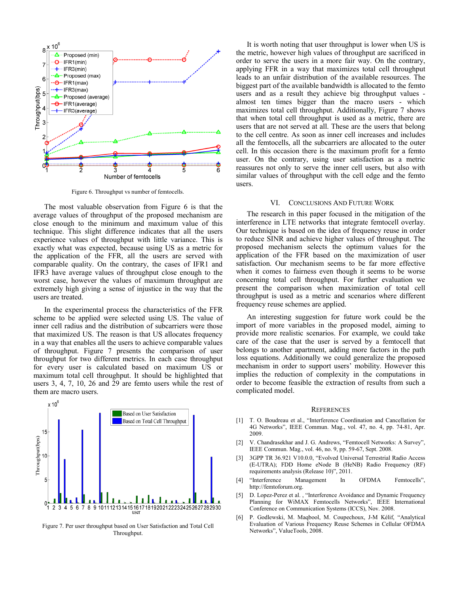

Figure 6. Throughput vs number of femtocells.

The most valuable observation from Figure 6 is that the average values of throughput of the proposed mechanism are close enough to the minimum and maximum value of this technique. This slight difference indicates that all the users experience values of throughput with little variance. This is exactly what was expected, because using US as a metric for the application of the FFR, all the users are served with comparable quality. On the contrary, the cases of IFR1 and IFR3 have average values of throughput close enough to the worst case, however the values of maximum throughput are extremely high giving a sense of injustice in the way that the users are treated.

In the experimental process the characteristics of the FFR scheme to be applied were selected using US. The value of inner cell radius and the distribution of subcarriers were those that maximized US. The reason is that US allocates frequency in a way that enables all the users to achieve comparable values of throughput. Figure 7 presents the comparison of user throughput for two different metrics. In each case throughput for every user is calculated based on maximum US or maximum total cell throughput. It should be highlighted that users 3, 4, 7, 10, 26 and 29 are femto users while the rest of them are macro users.



Figure 7. Per user throughput based on User Satisfaction and Total Cell Throughput.

It is worth noting that user throughput is lower when US is the metric, however high values of throughput are sacrificed in order to serve the users in a more fair way. On the contrary, applying FFR in a way that maximizes total cell throughput leads to an unfair distribution of the available resources. The biggest part of the available bandwidth is allocated to the femto users and as a result they achieve big throughput values almost ten times bigger than the macro users - which maximizes total cell throughput. Additionally, Figure 7 shows that when total cell throughput is used as a metric, there are users that are not served at all. These are the users that belong to the cell centre. As soon as inner cell increases and includes all the femtocells, all the subcarriers are allocated to the outer cell. In this occasion there is the maximum profit for a femto user. On the contrary, using user satisfaction as a metric reassures not only to serve the inner cell users, but also with similar values of throughput with the cell edge and the femto users.

# VI. CONCLUSIONS AND FUTURE WORK

The research in this paper focused in the mitigation of the interference in LTE networks that integrate femtocell overlay. Our technique is based on the idea of frequency reuse in order to reduce SINR and achieve higher values of throughput. The proposed mechanism selects the optimum values for the application of the FFR based on the maximization of user satisfaction. Our mechanism seems to be far more effective when it comes to fairness even though it seems to be worse concerning total cell throughput. For further evaluation we present the comparison when maximization of total cell throughput is used as a metric and scenarios where different frequency reuse schemes are applied.

An interesting suggestion for future work could be the import of more variables in the proposed model, aiming to provide more realistic scenarios. For example, we could take care of the case that the user is served by a femtocell that belongs to another apartment, adding more factors in the path loss equations. Additionally we could generalize the proposed mechanism in order to support users' mobility. However this implies the reduction of complexity in the computations in order to become feasible the extraction of results from such a complicated model.

## **REFERENCES**

- [1] T. O. Boudreau et al., "Interference Coordination and Cancellation for 4G Networks", IEEE Commun. Mag., vol. 47, no. 4, pp. 74-81, Apr. 2009.
- [2] V. Chandrasekhar and J. G. Andrews, "Femtocell Networks: A Survey", IEEE Commun. Mag., vol. 46, no. 9, pp. 59-67, Sept. 2008.
- [3] 3GPP TR 36.921 V10.0.0, "Evolved Universal Terrestrial Radio Access (E-UTRA); FDD Home eNode B (HeNB) Radio Frequency (RF) requirements analysis (Release 10)", 2011.
- [4] "Interference Management In OFDMA Femtocells", http://femtoforum.org.
- [5] D. Lopez-Perez et al., "Interference Avoidance and Dynamic Frequency Planning for WiMAX Femtocells Networks", IEEE International Conference on Communication Systems (ICCS), Nov. 2008.
- [6] P. Godlewski, M. Maqbool, M. Coupechoux, J-M Kélif, "Analytical Evaluation of Various Frequency Reuse Schemes in Cellular OFDMA Networks", ValueTools, 2008.